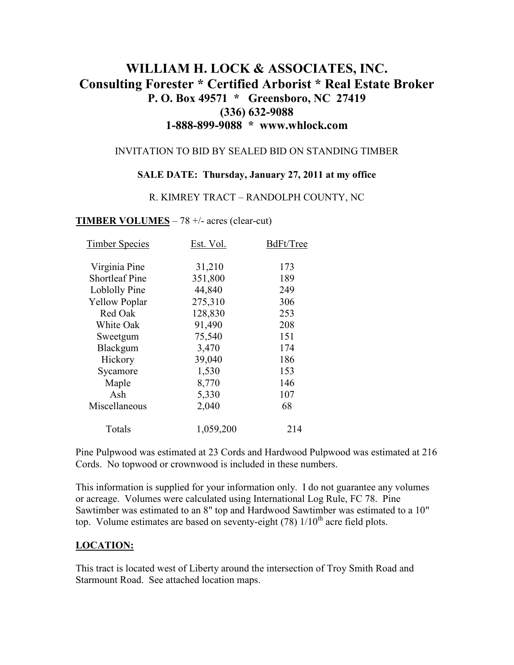# **WILLIAM H. LOCK & ASSOCIATES, INC. Consulting Forester \* Certified Arborist \* Real Estate Broker P. O. Box 49571 \* Greensboro, NC 27419 (336) 632-9088 1-888-899-9088 \* www.whlock.com**

#### INVITATION TO BID BY SEALED BID ON STANDING TIMBER

#### **SALE DATE: Thursday, January 27, 2011 at my office**

#### R. KIMREY TRACT – RANDOLPH COUNTY, NC

#### **TIMBER VOLUMES** – 78 +/- acres (clear-cut)

| <b>Timber Species</b> | Est. Vol. | BdFt/Tree |
|-----------------------|-----------|-----------|
| Virginia Pine         | 31,210    | 173       |
| <b>Shortleaf Pine</b> | 351,800   | 189       |
| Loblolly Pine         | 44,840    | 249       |
| <b>Yellow Poplar</b>  | 275,310   | 306       |
| Red Oak               | 128,830   | 253       |
| White Oak             | 91,490    | 208       |
| Sweetgum              | 75,540    | 151       |
| Blackgum              | 3,470     | 174       |
| Hickory               | 39,040    | 186       |
| Sycamore              | 1,530     | 153       |
| Maple                 | 8,770     | 146       |
| Ash                   | 5,330     | 107       |
| Miscellaneous         | 2,040     | 68        |
| Totals                | 1,059,200 | 214       |

Pine Pulpwood was estimated at 23 Cords and Hardwood Pulpwood was estimated at 216 Cords. No topwood or crownwood is included in these numbers.

This information is supplied for your information only. I do not guarantee any volumes or acreage. Volumes were calculated using International Log Rule, FC 78. Pine Sawtimber was estimated to an 8" top and Hardwood Sawtimber was estimated to a 10" top. Volume estimates are based on seventy-eight  $(78)$  1/10<sup>th</sup> acre field plots.

#### **LOCATION:**

This tract is located west of Liberty around the intersection of Troy Smith Road and Starmount Road. See attached location maps.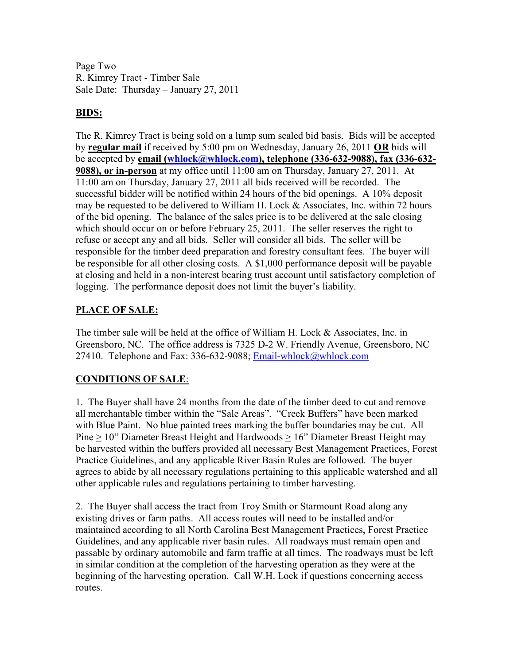Page Two R. Kimrey Tract - Timber Sale Sale Date: Thursday – January 27, 2011

### **BIDS:**

The R. Kimrey Tract is being sold on a lump sum sealed bid basis. Bids will be accepted by **regular mail** if received by 5:00 pm on Wednesday, January 26, 2011 **OR** bids will be accepted by **email (whlock@whlock.com), telephone (336-632-9088), fax (336-632- 9088), or in-person** at my office until 11:00 am on Thursday, January 27, 2011. At 11:00 am on Thursday, January 27, 2011 all bids received will be recorded. The successful bidder will be notified within 24 hours of the bid openings. A 10% deposit may be requested to be delivered to William H. Lock & Associates, Inc. within 72 hours of the bid opening. The balance of the sales price is to be delivered at the sale closing which should occur on or before February 25, 2011. The seller reserves the right to refuse or accept any and all bids. Seller will consider all bids. The seller will be responsible for the timber deed preparation and forestry consultant fees. The buyer will be responsible for all other closing costs. A \$1,000 performance deposit will be payable at closing and held in a non-interest bearing trust account until satisfactory completion of logging. The performance deposit does not limit the buyer's liability.

### **PLACE OF SALE:**

The timber sale will be held at the office of William H. Lock & Associates, Inc. in Greensboro, NC. The office address is 7325 D-2 W. Friendly Avenue, Greensboro, NC 27410. Telephone and Fax: 336-632-9088; Email-whlock@whlock.com

## **CONDITIONS OF SALE**:

1. The Buyer shall have 24 months from the date of the timber deed to cut and remove all merchantable timber within the "Sale Areas". "Creek Buffers" have been marked with Blue Paint. No blue painted trees marking the buffer boundaries may be cut. All Pine > 10" Diameter Breast Height and Hardwoods > 16" Diameter Breast Height may be harvested within the buffers provided all necessary Best Management Practices, Forest Practice Guidelines, and any applicable River Basin Rules are followed. The buyer agrees to abide by all necessary regulations pertaining to this applicable watershed and all other applicable rules and regulations pertaining to timber harvesting.

2. The Buyer shall access the tract from Troy Smith or Starmount Road along any existing drives or farm paths. All access routes will need to be installed and/or maintained according to all North Carolina Best Management Practices, Forest Practice Guidelines, and any applicable river basin rules. All roadways must remain open and passable by ordinary automobile and farm traffic at all times. The roadways must be left in similar condition at the completion of the harvesting operation as they were at the beginning of the harvesting operation. Call W.H. Lock if questions concerning access routes.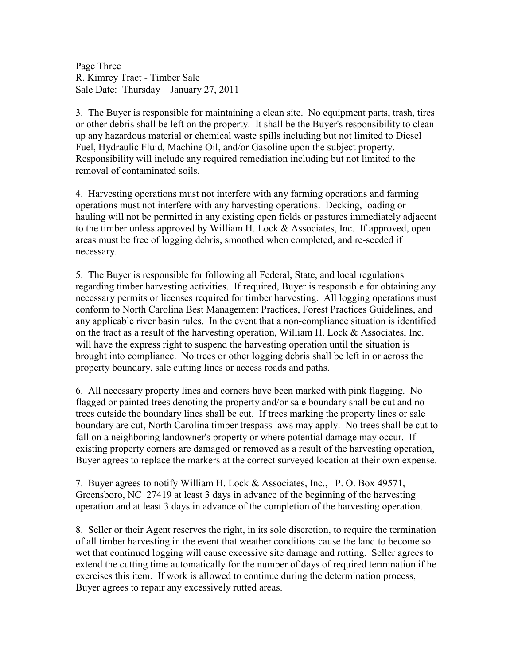Page Three R. Kimrey Tract - Timber Sale Sale Date: Thursday – January 27, 2011

3. The Buyer is responsible for maintaining a clean site. No equipment parts, trash, tires or other debris shall be left on the property. It shall be the Buyer's responsibility to clean up any hazardous material or chemical waste spills including but not limited to Diesel Fuel, Hydraulic Fluid, Machine Oil, and/or Gasoline upon the subject property. Responsibility will include any required remediation including but not limited to the removal of contaminated soils.

4. Harvesting operations must not interfere with any farming operations and farming operations must not interfere with any harvesting operations. Decking, loading or hauling will not be permitted in any existing open fields or pastures immediately adjacent to the timber unless approved by William H. Lock & Associates, Inc. If approved, open areas must be free of logging debris, smoothed when completed, and re-seeded if necessary.

5. The Buyer is responsible for following all Federal, State, and local regulations regarding timber harvesting activities. If required, Buyer is responsible for obtaining any necessary permits or licenses required for timber harvesting. All logging operations must conform to North Carolina Best Management Practices, Forest Practices Guidelines, and any applicable river basin rules. In the event that a non-compliance situation is identified on the tract as a result of the harvesting operation, William H. Lock & Associates, Inc. will have the express right to suspend the harvesting operation until the situation is brought into compliance. No trees or other logging debris shall be left in or across the property boundary, sale cutting lines or access roads and paths.

6. All necessary property lines and corners have been marked with pink flagging. No flagged or painted trees denoting the property and/or sale boundary shall be cut and no trees outside the boundary lines shall be cut. If trees marking the property lines or sale boundary are cut, North Carolina timber trespass laws may apply. No trees shall be cut to fall on a neighboring landowner's property or where potential damage may occur. If existing property corners are damaged or removed as a result of the harvesting operation, Buyer agrees to replace the markers at the correct surveyed location at their own expense.

7. Buyer agrees to notify William H. Lock & Associates, Inc., P. O. Box 49571, Greensboro, NC 27419 at least 3 days in advance of the beginning of the harvesting operation and at least 3 days in advance of the completion of the harvesting operation.

8. Seller or their Agent reserves the right, in its sole discretion, to require the termination of all timber harvesting in the event that weather conditions cause the land to become so wet that continued logging will cause excessive site damage and rutting. Seller agrees to extend the cutting time automatically for the number of days of required termination if he exercises this item. If work is allowed to continue during the determination process, Buyer agrees to repair any excessively rutted areas.